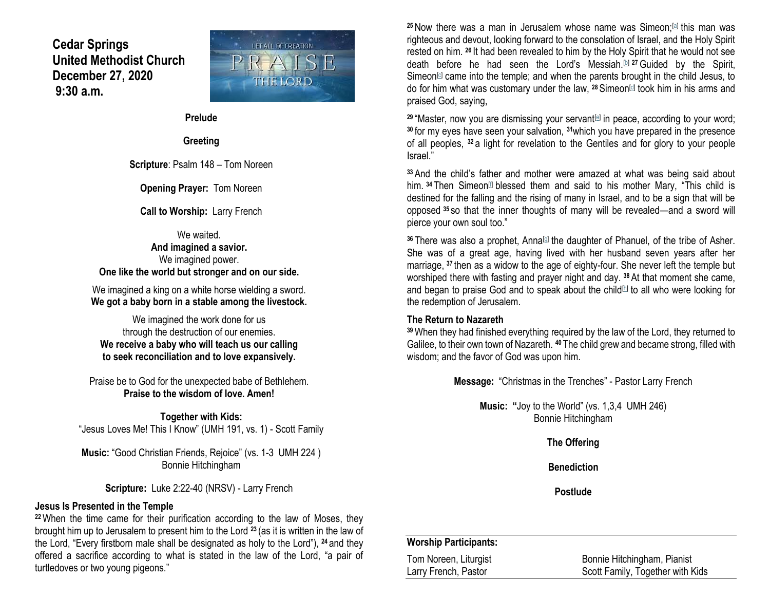**Cedar Springs United Methodist Church December 27, 2020 9:30 a.m.**



**Prelude**

**Greeting**

**Scripture**: Psalm 148 – Tom Noreen

**Opening Prayer:** Tom Noreen

**Call to Worship:** Larry French

We waited. **And imagined a savior.** We imagined power. **One like the world but stronger and on our side.**

We imagined a king on a white horse wielding a sword. **We got a baby born in a stable among the livestock.**

We imagined the work done for us through the destruction of our enemies. **We receive a baby who will teach us our calling to seek reconciliation and to love expansively.**

Praise be to God for the unexpected babe of Bethlehem. **Praise to the wisdom of love. Amen!**

**Together with Kids:** "Jesus Loves Me! This I Know" (UMH 191, vs. 1) - Scott Family

**Music:** "Good Christian Friends, Rejoice" (vs. 1-3 UMH 224 ) Bonnie Hitchingham

**Scripture:** Luke 2:22-40 (NRSV) - Larry French

#### **Jesus Is Presented in the Temple**

**<sup>22</sup>**When the time came for their purification according to the law of Moses, they brought him up to Jerusalem to present him to the Lord **<sup>23</sup>** (as it is written in the law of the Lord, "Every firstborn male shall be designated as holy to the Lord"), **<sup>24</sup>** and they offered a sacrifice according to what is stated in the law of the Lord, "a pair of turtledoves or two young pigeons."

<sup>25</sup> Now there was a man in Jerusalem whose name was Simeon;<sup>[\[a\]](https://www.biblegateway.com/passage/?search=Luke+2%3A22-40&version=NRSV#fen-NRSV-24991a)</sup> this man was righteous and devout, looking forward to the consolation of Israel, and the Holy Spirit rested on him. **<sup>26</sup>** It had been revealed to him by the Holy Spirit that he would not see death before he had seen the Lord's Messiah.[\[b\]](https://www.biblegateway.com/passage/?search=Luke+2%3A22-40&version=NRSV#fen-NRSV-24992b) **<sup>27</sup>**Guided by the Spirit, Simeon $[ω]$  came into the temple; and when the parents brought in the child Jesus, to do for him what was customary under the law, <sup>28</sup> Simeon<sup>d</sup> took him in his arms and praised God, saying,

<sup>29</sup> "Master, now you are dismissing your servant<sup>[\[e\]](https://www.biblegateway.com/passage/?search=Luke+2%3A22-40&version=NRSV#fen-NRSV-24995e)</sup> in peace, according to your word; **<sup>30</sup>** for my eyes have seen your salvation, **<sup>31</sup>**which you have prepared in the presence of all peoples, **<sup>32</sup>** a light for revelation to the Gentiles and for glory to your people Israel."

**<sup>33</sup>** And the child's father and mother were amazed at what was being said about him. <sup>34</sup> Then Simeon<sup>[1]</sup> blessed them and said to his mother Mary, "This child is destined for the falling and the rising of many in Israel, and to be a sign that will be opposed **<sup>35</sup>** so that the inner thoughts of many will be revealed—and a sword will pierce your own soul too."

36 There was also a prophet, Anna<sup>[d]</sup> the daughter of Phanuel, of the tribe of Asher. She was of a great age, having lived with her husband seven years after her marriage, **<sup>37</sup>** then as a widow to the age of eighty-four. She never left the temple but worshiped there with fasting and prayer night and day. **<sup>38</sup>**At that moment she came, and began to praise God and to speak about the child<sup>[b]</sup> to all who were looking for the redemption of Jerusalem.

### **The Return to Nazareth**

**<sup>39</sup>**When they had finished everything required by the law of the Lord, they returned to Galilee, to their own town of Nazareth. **<sup>40</sup>** The child grew and became strong, filled with wisdom; and the favor of God was upon him.

**Message:** "Christmas in the Trenches" - Pastor Larry French

**Music: "**Joy to the World" (vs. 1,3,4 UMH 246) Bonnie Hitchingham

**The Offering**

**Benediction**

**Postlude**

## **Worship Participants:**

| Tom Noreen, Liturgist | Bonnie Hitchingham, Pianist      |
|-----------------------|----------------------------------|
| Larry French, Pastor  | Scott Family, Together with Kids |